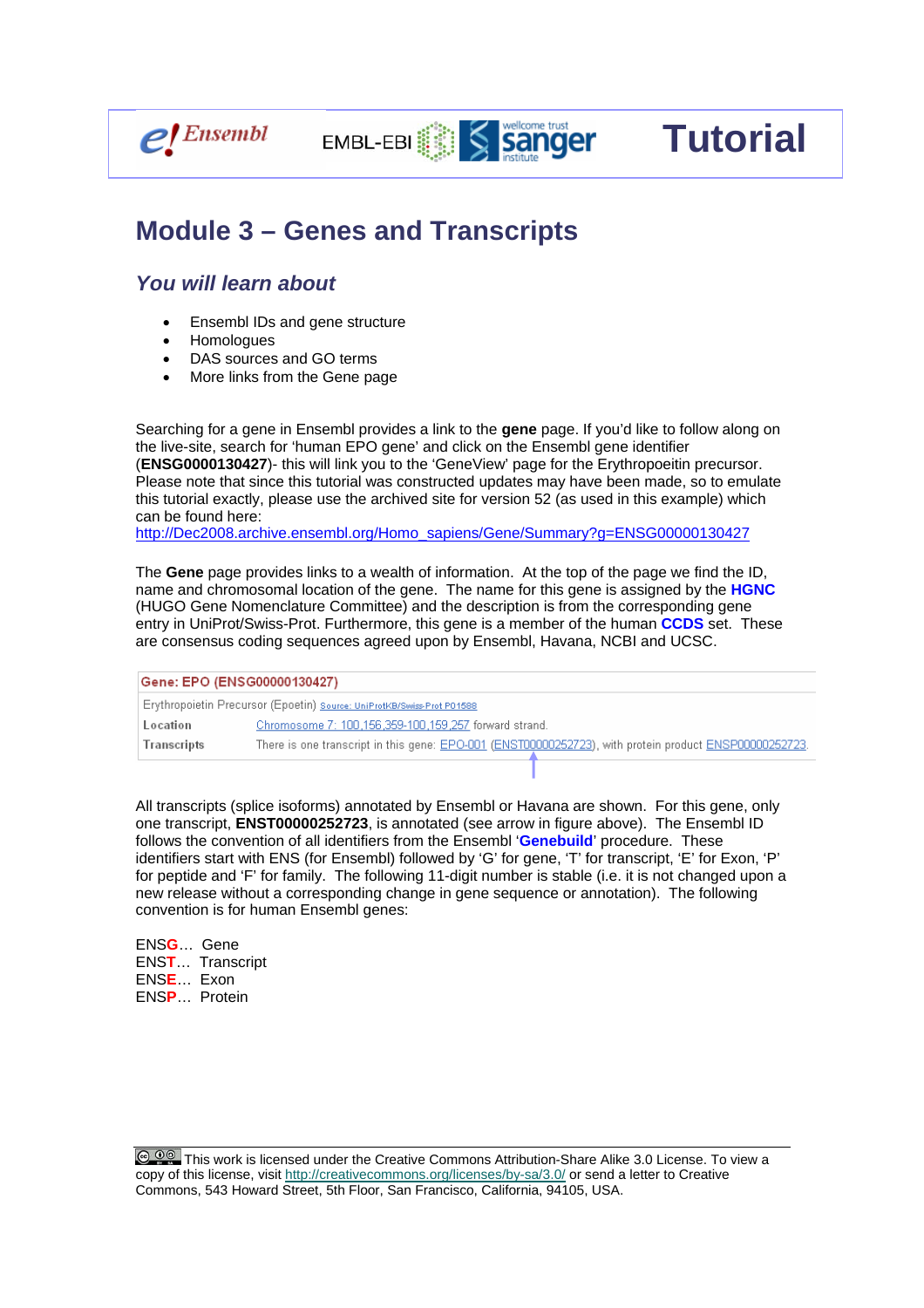

## **Module 3 – Genes and Transcripts**

EMBL-EBI **WELL** 

## *You will learn about*

- Ensembl IDs and gene structure
- Homologues
- DAS sources and GO terms
- More links from the Gene page

Searching for a gene in Ensembl provides a link to the **gene** page. If you'd like to follow along on the live-site, search for 'human EPO gene' and click on the Ensembl gene identifier (**ENSG0000130427**)- this will link you to the 'GeneView' page for the Erythropoeitin precursor. Please note that since this tutorial was constructed updates may have been made, so to emulate this tutorial exactly, please use the archived site for version 52 (as used in this example) which can be found here:

sanger

**Tutorial** 

http://Dec2008.archive.ensembl.org/Homo\_sapiens/Gene/Summary?g=ENSG00000130427

The **Gene** page provides links to a wealth of information. At the top of the page we find the ID, name and chromosomal location of the gene. The name for this gene is assigned by the **HGNC**  (HUGO Gene Nomenclature Committee) and the description is from the corresponding gene entry in UniProt/Swiss-Prot. Furthermore, this gene is a member of the human **CCDS** set. These are consensus coding sequences agreed upon by Ensembl, Havana, NCBI and UCSC.

| Gene: EPO (ENSG00000130427) |                                                                                                        |  |  |  |
|-----------------------------|--------------------------------------------------------------------------------------------------------|--|--|--|
|                             |                                                                                                        |  |  |  |
| Location                    | Chromosome 7: 100,156,359-100,159,257 forward strand.                                                  |  |  |  |
| Transcripts                 | There is one transcript in this gene: EPO-001 (ENST00000252723), with protein product ENSP00000252723. |  |  |  |
|                             |                                                                                                        |  |  |  |

All transcripts (splice isoforms) annotated by Ensembl or Havana are shown. For this gene, only one transcript, **ENST00000252723**, is annotated (see arrow in figure above). The Ensembl ID follows the convention of all identifiers from the Ensembl '**Genebuild**' procedure. These identifiers start with ENS (for Ensembl) followed by 'G' for gene, 'T' for transcript, 'E' for Exon, 'P' for peptide and 'F' for family. The following 11-digit number is stable (i.e. it is not changed upon a new release without a corresponding change in gene sequence or annotation). The following convention is for human Ensembl genes:

ENS**G**… Gene ENS**T**… Transcript ENS**E**… Exon ENS**P**… Protein

**C 00** This work is licensed under the Creative Commons Attribution-Share Alike 3.0 License. To view a copy of this license, visit http://creativecommons.org/licenses/by-sa/3.0/ or send a letter to Creative Commons, 543 Howard Street, 5th Floor, San Francisco, California, 94105, USA.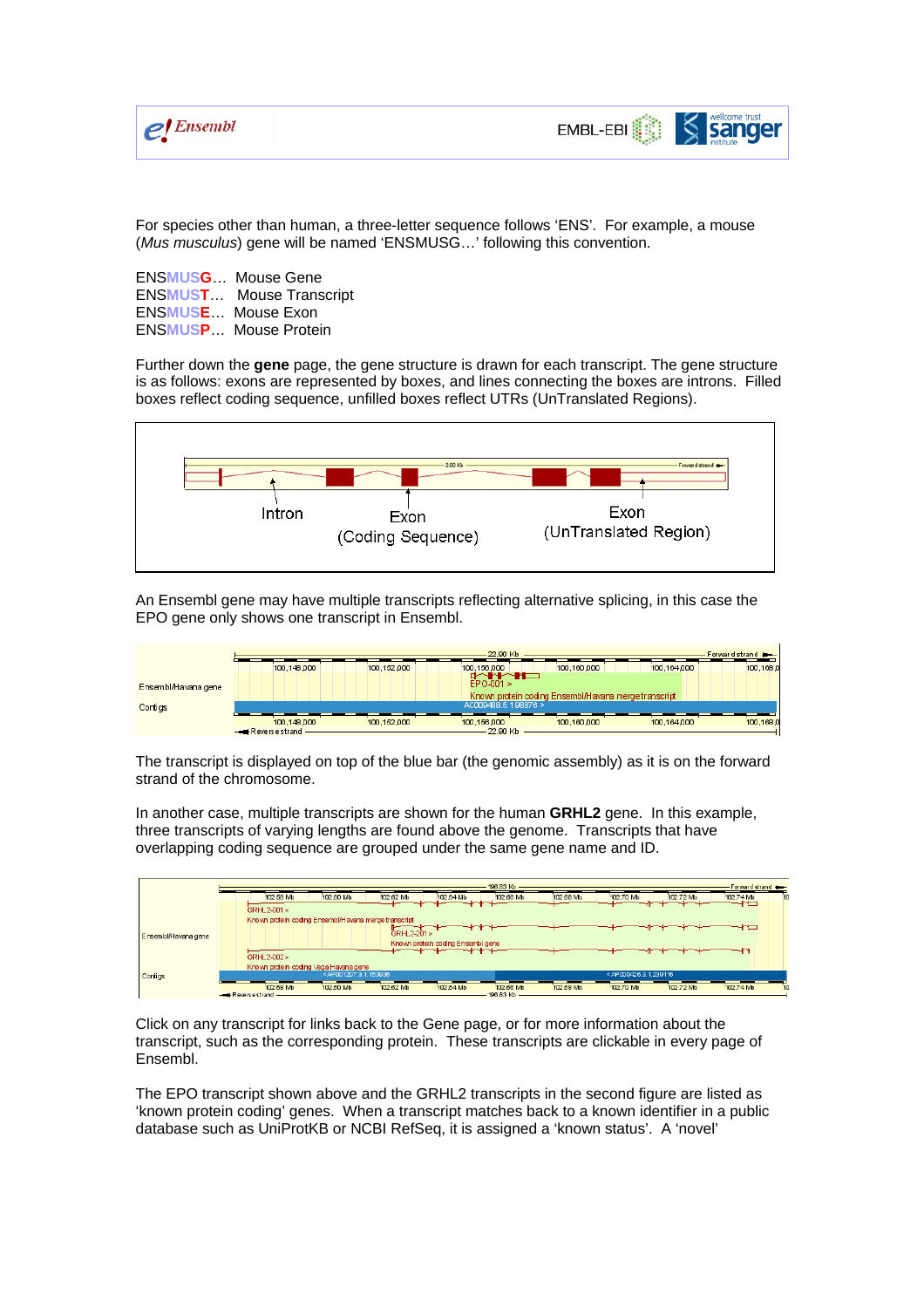

For species other than human, a three-letter sequence follows 'ENS'. For example, a mouse (*Mus musculus*) gene will be named 'ENSMUSG…' following this convention.

ENS**MUSG**… Mouse Gene ENS**MUST**… Mouse Transcript ENS**MUSE**… Mouse Exon ENS**MUSP**… Mouse Protein

Further down the **gene** page, the gene structure is drawn for each transcript. The gene structure is as follows: exons are represented by boxes, and lines connecting the boxes are introns. Filled boxes reflect coding sequence, unfilled boxes reflect UTRs (UnTranslated Regions).



An Ensembl gene may have multiple transcripts reflecting alternative splicing, in this case the EPO gene only shows one transcript in Ensembl.

|                     | 22.90 Kb                         |             |                                                                                                                                                                                                                                                   |                                                      |             | Forward strand |
|---------------------|----------------------------------|-------------|---------------------------------------------------------------------------------------------------------------------------------------------------------------------------------------------------------------------------------------------------|------------------------------------------------------|-------------|----------------|
|                     | 100,148,000                      | 100.152.000 | 100.156.000                                                                                                                                                                                                                                       | 100.160.000                                          | 100,164,000 | 100,168.0      |
| Ensembl/Havana gene |                                  |             | dan mengenakan kalendar pada tahun 1980.<br>Pada tahun 1980 mengenai kalendar dalam kalendar dalam kalendar dalam kalendar dalam kalendar dalam pada tahun<br>Pada tahun 1980 menjadi kalendar pada tahun 1980 menjadi kalendar pada<br>EPO-001 > | Known protein coding Ensembl/Havana merge transcript |             |                |
| Contigs             |                                  |             | AC009488.5.1.98876 >                                                                                                                                                                                                                              |                                                      |             |                |
|                     | 100,148,000<br>$-$ Reversestrand | 100.152.000 | 100.156.000<br>– 22.90 Kb                                                                                                                                                                                                                         | 100.160.000                                          | 100,164,000 | 100,168.0      |

The transcript is displayed on top of the blue bar (the genomic assembly) as it is on the forward strand of the chromosome.

In another case, multiple transcripts are shown for the human **GRHL2** gene. In this example, three transcripts of varying lengths are found above the genome. Transcripts that have overlapping coding sequence are grouped under the same gene name and ID.



Click on any transcript for links back to the Gene page, or for more information about the transcript, such as the corresponding protein. These transcripts are clickable in every page of Ensembl.

The EPO transcript shown above and the GRHL2 transcripts in the second figure are listed as 'known protein coding' genes. When a transcript matches back to a known identifier in a public database such as UniProtKB or NCBI RefSeq, it is assigned a 'known status'. A 'novel'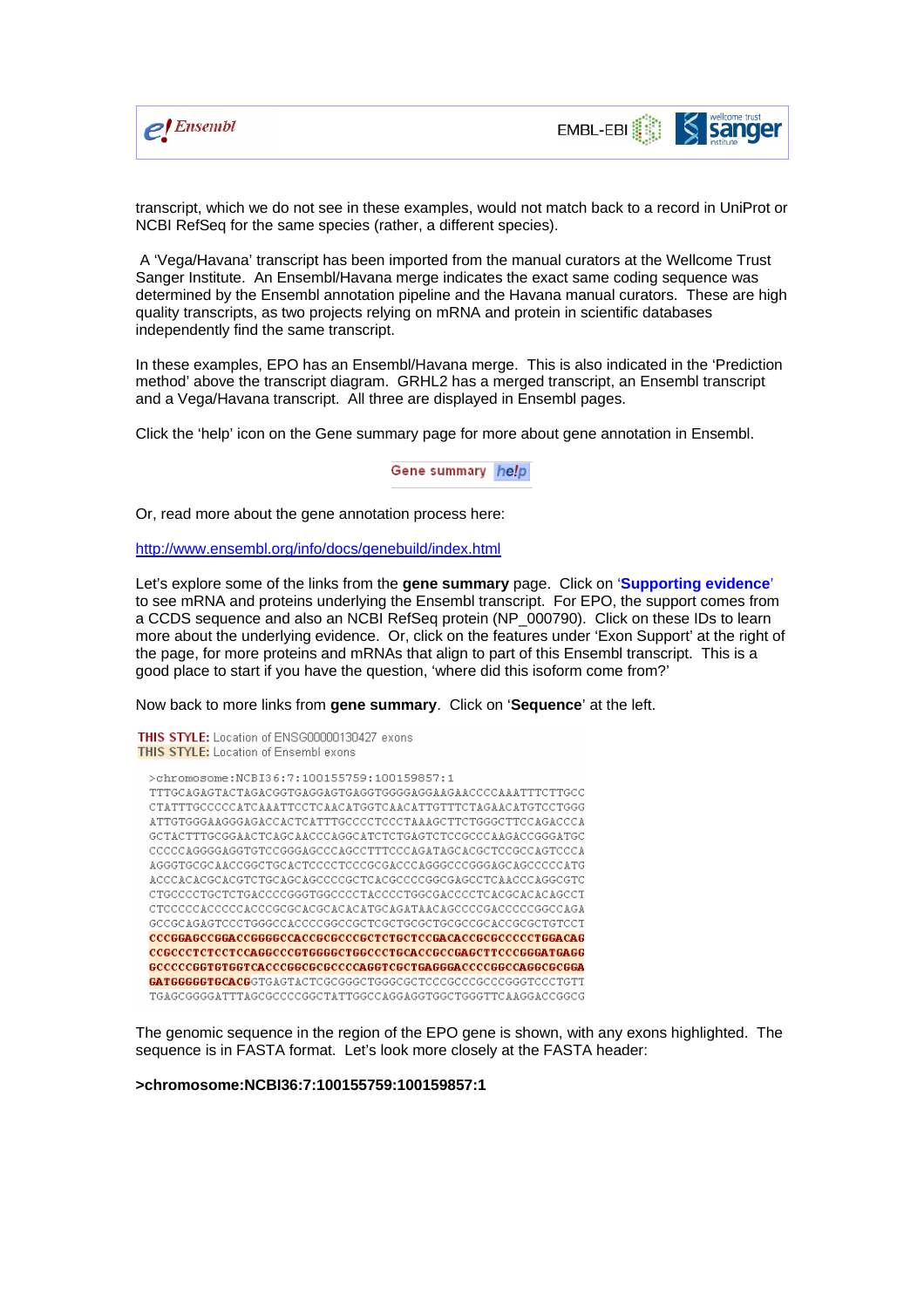



transcript, which we do not see in these examples, would not match back to a record in UniProt or NCBI RefSeq for the same species (rather, a different species).

 A 'Vega/Havana' transcript has been imported from the manual curators at the Wellcome Trust Sanger Institute. An Ensembl/Havana merge indicates the exact same coding sequence was determined by the Ensembl annotation pipeline and the Havana manual curators. These are high quality transcripts, as two projects relying on mRNA and protein in scientific databases independently find the same transcript.

In these examples, EPO has an Ensembl/Havana merge. This is also indicated in the 'Prediction method' above the transcript diagram. GRHL2 has a merged transcript, an Ensembl transcript and a Vega/Havana transcript. All three are displayed in Ensembl pages.

Click the 'help' icon on the Gene summary page for more about gene annotation in Ensembl.

Gene summary help

Or, read more about the gene annotation process here:

http://www.ensembl.org/info/docs/genebuild/index.html

Let's explore some of the links from the **gene summary** page. Click on '**Supporting evidence**' to see mRNA and proteins underlying the Ensembl transcript. For EPO, the support comes from a CCDS sequence and also an NCBI RefSeq protein (NP\_000790). Click on these IDs to learn more about the underlying evidence. Or, click on the features under 'Exon Support' at the right of the page, for more proteins and mRNAs that align to part of this Ensembl transcript. This is a good place to start if you have the question, 'where did this isoform come from?'

Now back to more links from **gene summary**. Click on '**Sequence**' at the left.

THIS STYLE: Location of ENSG00000130427 exons **THIS STYLE:** Location of Ensembl exons >chromosome: NCBI36:7:100155759:100159857:1 TTTGCAGAGTACTAGACGGTGAGGAGTGAGGTGGGGAGGAAGAACCCCAAATTTCTTGCC  ${\tt CTATTTGCCCCATCAIATTCCTCAACATGGTCAACATTGTTTCTAGAACATGTCCTGGG}$ ATTGTGGGAAAGGAAACCACTCATTTGCCCCTCCCTAAAGCTTCTGGGCTTCCAGACCCA GCTACTTTGCGGAACTCAGCAACCCAGGCATCTCTGAGTCTCCGCCCAAGACCGGGATGC CCCCCAGGGGAGGTGTCCGGGAGCCCAGCCTTTCCCAGATAGCACGCTCCGCCAGTCCCA arianonosainaanonoaaainnoaanonomoomninaanonaianoaraaai ACCCACACGCACGTCTGCAGCAGCCCCGCTCACGCCCCGGCGAGCCTCAACCCAGGCGTC  ${\tt CTCCCCCTGCTCTGACCCCGGGTGGCCCCTACCCCTGGCGACCCCCTCACGGCACACAGCCT$ CTCCCCCACCCCACCCGCGCACGCACACATGCAGATAACAGCCCCGACCCCGGCCAGA GCCGCAGAGTCCCTGGGCCACCCCGGCCGCTCGCTGCGCTGCGCCGCACCGCGCTGTCCT  ${\tt CCCGGAGCCGGAGCGGGGCACCGCCCGCCTCTGCTCCGACACCGCGCCCCTGGACAG}$ GCCCCCGGTGTGGTCACCCGGCGCGCCCCAGGTCGCTGAGGGACCCCGGCCAGGCGCGGA GATGGGGGTGCACGGTGAGTACTCGCGGGCTGGGCGCTCCCGCCCCCCCGGGTCCCTGTT TGAGCGGGGATTTAGCGCCCCGGCTATTGGCCAGGAGGTGGCTGGGTTCAAGGACCGGCG

The genomic sequence in the region of the EPO gene is shown, with any exons highlighted. The sequence is in FASTA format. Let's look more closely at the FASTA header:

**>chromosome:NCBI36:7:100155759:100159857:1**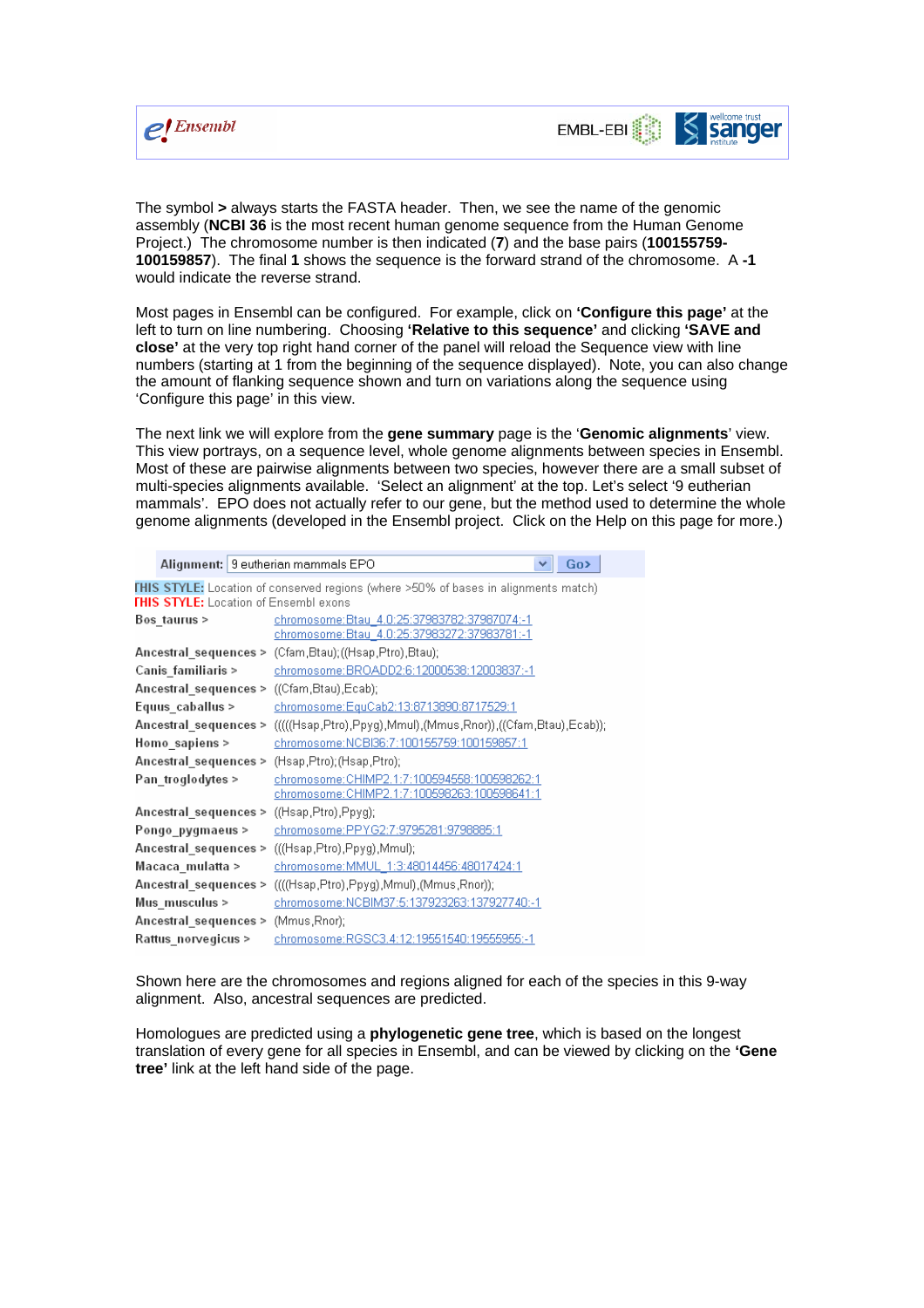



The symbol **>** always starts the FASTA header. Then, we see the name of the genomic assembly (**NCBI 36** is the most recent human genome sequence from the Human Genome Project.) The chromosome number is then indicated (**7**) and the base pairs (**100155759- 100159857**). The final **1** shows the sequence is the forward strand of the chromosome. A **-1** would indicate the reverse strand.

Most pages in Ensembl can be configured. For example, click on **'Configure this page'** at the left to turn on line numbering. Choosing **'Relative to this sequence'** and clicking **'SAVE and close'** at the very top right hand corner of the panel will reload the Sequence view with line numbers (starting at 1 from the beginning of the sequence displayed). Note, you can also change the amount of flanking sequence shown and turn on variations along the sequence using 'Configure this page' in this view.

The next link we will explore from the **gene summary** page is the '**Genomic alignments**' view. This view portrays, on a sequence level, whole genome alignments between species in Ensembl. Most of these are pairwise alignments between two species, however there are a small subset of multi-species alignments available. 'Select an alignment' at the top. Let's select '9 eutherian mammals'. EPO does not actually refer to our gene, but the method used to determine the whole genome alignments (developed in the Ensembl project. Click on the Help on this page for more.)

|                                                                                            | Alignment: 9 eutherian mammals EPO<br>Go>                        |  |  |  |  |
|--------------------------------------------------------------------------------------------|------------------------------------------------------------------|--|--|--|--|
| <b>THIS STYLE:</b> Location of conserved regions (where >50% of bases in alignments match) |                                                                  |  |  |  |  |
| <b>THIS STYLE:</b> Location of Ensembl exons                                               |                                                                  |  |  |  |  |
| chromosome: Btau 4.0:25:37983782:37987074:-1<br>Bos taurus >                               |                                                                  |  |  |  |  |
|                                                                                            | chromosome: Btau 4.0:25:37983272:37983781:-1                     |  |  |  |  |
| Ancestral sequences >                                                                      | (Cfam,Btau); ((Hsap,Ptro),Btau);                                 |  |  |  |  |
| Canis_familiaris >                                                                         | chromosome: BROADD2:6:12000538:12003837:-1                       |  |  |  |  |
| Ancestral sequences >                                                                      | ((Cfam,Btau),Ecab);                                              |  |  |  |  |
| Equus caballus >                                                                           | <u>chromosome:EquCab2:13:8713890:8717529:1</u>                   |  |  |  |  |
| Ancestral sequences >                                                                      | ((((Hsap,Ptro),Ppγg),Mmul),(Mmus,Rnor)),((Cfam,Btau),Ecab));     |  |  |  |  |
| Homo sapiens >                                                                             | chromosome:NCBI36:7:100155759:100159857:1                        |  |  |  |  |
| Ancestral_sequences ><br>(Hsap,Ptro); (Hsap,Ptro);                                         |                                                                  |  |  |  |  |
| chromosome: CHIMP2.1:7:100594558:100598262:1<br>Pan troglodytes >                          |                                                                  |  |  |  |  |
|                                                                                            | chromosome: CHIMP2.1:7:100598263:100598641:1                     |  |  |  |  |
| Ancestral sequences >                                                                      | ((Hsap,Ptro),Ppyg);                                              |  |  |  |  |
| Pongo pygmaeus >                                                                           | chromosome:PPYG2:7:9795281:9798885:1                             |  |  |  |  |
| Ancestral sequences >                                                                      | (((Hsap,Ptro),Ppyg),Mmul);                                       |  |  |  |  |
| Macaca mulatta >                                                                           | chromosome: MMUL 1:3:48014456:48017424:1                         |  |  |  |  |
|                                                                                            | (((Hsap,Ptro),Ppyg),Mmul),(Mmus,Rnor));<br>Ancestral sequences > |  |  |  |  |
| Mus musculus >                                                                             | chromosome: NCBIM37:5:137923263:137927740:-1                     |  |  |  |  |
| Ancestral sequences >                                                                      | (Mmus, Rnor);                                                    |  |  |  |  |
| Rattus norvegicus >                                                                        | chromosome:RGSC3.4:12:19551540:19555955:-1                       |  |  |  |  |

Shown here are the chromosomes and regions aligned for each of the species in this 9-way alignment. Also, ancestral sequences are predicted.

Homologues are predicted using a **phylogenetic gene tree**, which is based on the longest translation of every gene for all species in Ensembl, and can be viewed by clicking on the **'Gene tree'** link at the left hand side of the page.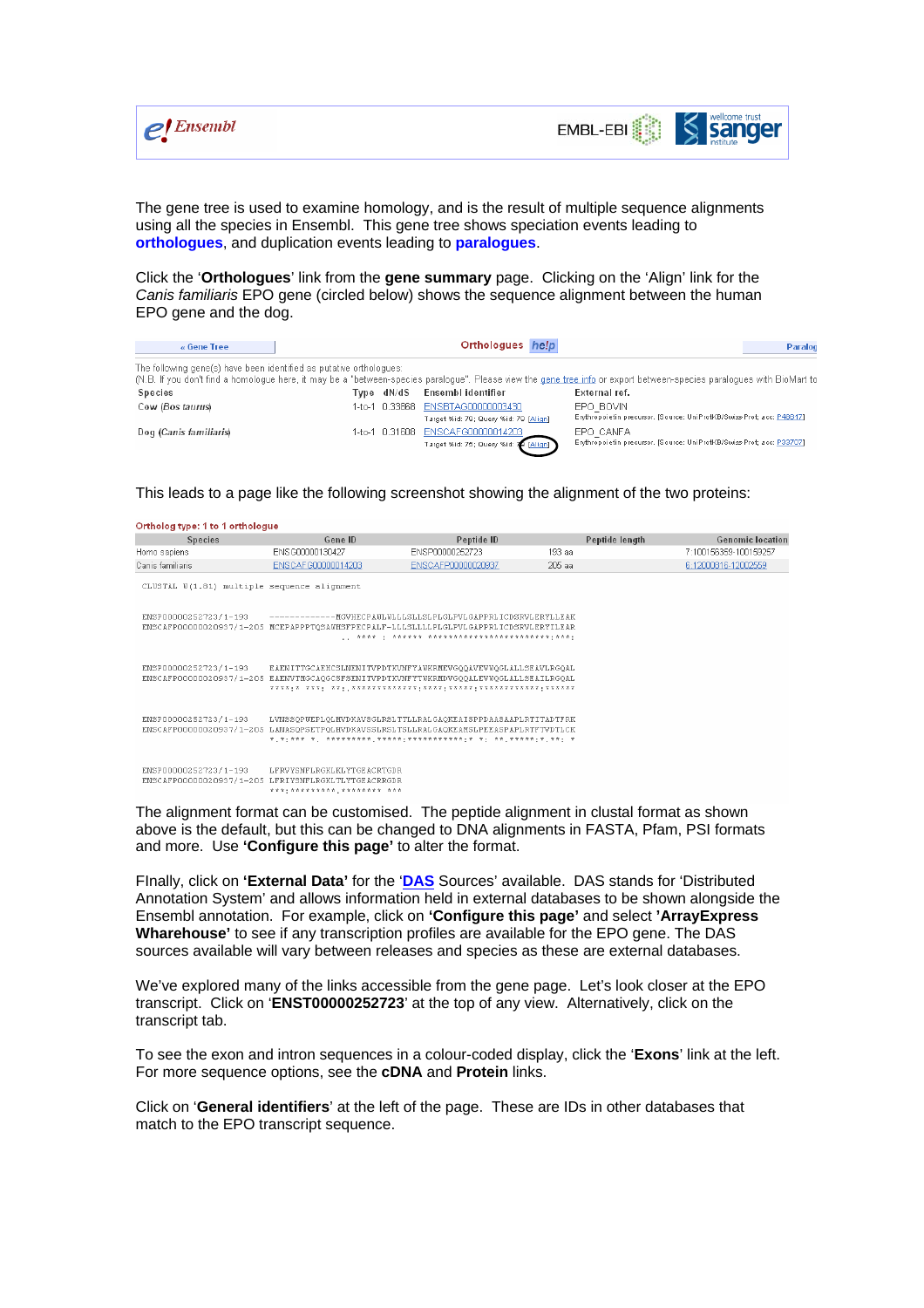



The gene tree is used to examine homology, and is the result of multiple sequence alignments using all the species in Ensembl. This gene tree shows speciation events leading to **orthologues**, and duplication events leading to **paralogues**.

Click the '**Orthologues**' link from the **gene summary** page. Clicking on the 'Align' link for the *Canis familiaris* EPO gene (circled below) shows the sequence alignment between the human EPO gene and the dog.

| « Gene Tree                                                                                                                                                                                                                                   |        |            | Orthologues help                                                           | Paralog                                                                             |  |
|-----------------------------------------------------------------------------------------------------------------------------------------------------------------------------------------------------------------------------------------------|--------|------------|----------------------------------------------------------------------------|-------------------------------------------------------------------------------------|--|
| The following gene(s) have been identified as putative orthologues:<br>(N.B. If you don't find a homologue here, it may be a "between-species paralogue". Please view the gene tree info or export between-species paralogues with BioMart to |        |            |                                                                            |                                                                                     |  |
| Species                                                                                                                                                                                                                                       |        | Tvpe dN/dS | Ensembl identifier                                                         | External ref.                                                                       |  |
| Cow (Bos taurus)                                                                                                                                                                                                                              |        |            | 1-to-1 0.33868 ENSBTAG00000003430<br>Target %id: 79; Query %id: 79 [Align] | EPO BOVIN<br>Enythropoietin precursor. [Source: UniProtKB/Swiss-Prot; acc: P48617]. |  |
| Dog (Canis familiaris)                                                                                                                                                                                                                        | 1-to-1 |            | 0.31608 ENSCAFG00000014203<br>Target %id: 75; Query %id: 79 [Align]        | EPO CANFA<br>Erythropoietin precursor. [Source: UniProtKB/Swiss-Prot; acc: P33707]  |  |

This leads to a page like the following screenshot showing the alignment of the two proteins:

| Ortholog type: 1 to 1 orthologue                                                                                                                                               |                                                                                                                                                       |                    |        |                |                         |
|--------------------------------------------------------------------------------------------------------------------------------------------------------------------------------|-------------------------------------------------------------------------------------------------------------------------------------------------------|--------------------|--------|----------------|-------------------------|
| <b>Species</b>                                                                                                                                                                 | Gene ID                                                                                                                                               | Peptide ID         |        | Peptide length | <b>Genomic location</b> |
| Homo sapiens                                                                                                                                                                   | ENSG00000130427                                                                                                                                       | ENSP00000252723    | 193 aa |                | 7:100156359-100159257   |
| Canis familiaris                                                                                                                                                               | ENSCAFG00000014203                                                                                                                                    | ENSCAFP00000020937 | 205 aa |                | 6:12000816-12002559     |
| CLUSTAL W(1.81) multiple sequence alignment                                                                                                                                    |                                                                                                                                                       |                    |        |                |                         |
| ENSP00000252723/1-193                                                                                                                                                          | ENSCAFP00000020937/1-205 MCEPAPPPTQSAWHSFPECPALF-LLLSLLLLPLGLPVLGAPPRLICDSRVLERYILEAR                                                                 |                    |        |                |                         |
| ENSP00000252723/1-193                                                                                                                                                          | EAENITTGCAEHCSLNENITVPDTKVNFYAWKRMEVGOOAVEVWOGLALLSEAVLRGOAL<br>ENSCAFP00000020937/1-205 EAENVTMGCAQGCSFSENITVPDTKVNFYTWKRMDVGQQALEVWQGLALLSEAILRGQAL |                    |        |                |                         |
| ENSP00000252723/1-193<br>LVNSSOPWEPLOLHVDKAVSGLRSLTTLLRALGAOKEAISPPDAASAAPLRTITADTFRK<br>ENSCAFP00000020937/1-205 LANASQPSETPQLHVDKAVSSLRSLTSLLRALGAQKEAMSLPEEASPAPLRTFTVDTLCK |                                                                                                                                                       |                    |        |                |                         |
| ENSP00000252723/1-193                                                                                                                                                          | LFRVYSNFLRGKLKLYTGEACRTGDR<br>ENSCAFP00000020937/1-205 LFRIYSNFLRGKLTLYTGEACRRGDR<br>********************* ***                                        |                    |        |                |                         |

The alignment format can be customised. The peptide alignment in clustal format as shown above is the default, but this can be changed to DNA alignments in FASTA, Pfam, PSI formats and more. Use **'Configure this page'** to alter the format.

FInally, click on **'External Data'** for the '**DAS** Sources' available. DAS stands for 'Distributed Annotation System' and allows information held in external databases to be shown alongside the Ensembl annotation. For example, click on **'Configure this page'** and select **'ArrayExpress Wharehouse'** to see if any transcription profiles are available for the EPO gene. The DAS sources available will vary between releases and species as these are external databases.

We've explored many of the links accessible from the gene page. Let's look closer at the EPO transcript. Click on '**ENST00000252723**' at the top of any view. Alternatively, click on the transcript tab.

To see the exon and intron sequences in a colour-coded display, click the '**Exons**' link at the left. For more sequence options, see the **cDNA** and **Protein** links.

Click on '**General identifiers**' at the left of the page. These are IDs in other databases that match to the EPO transcript sequence.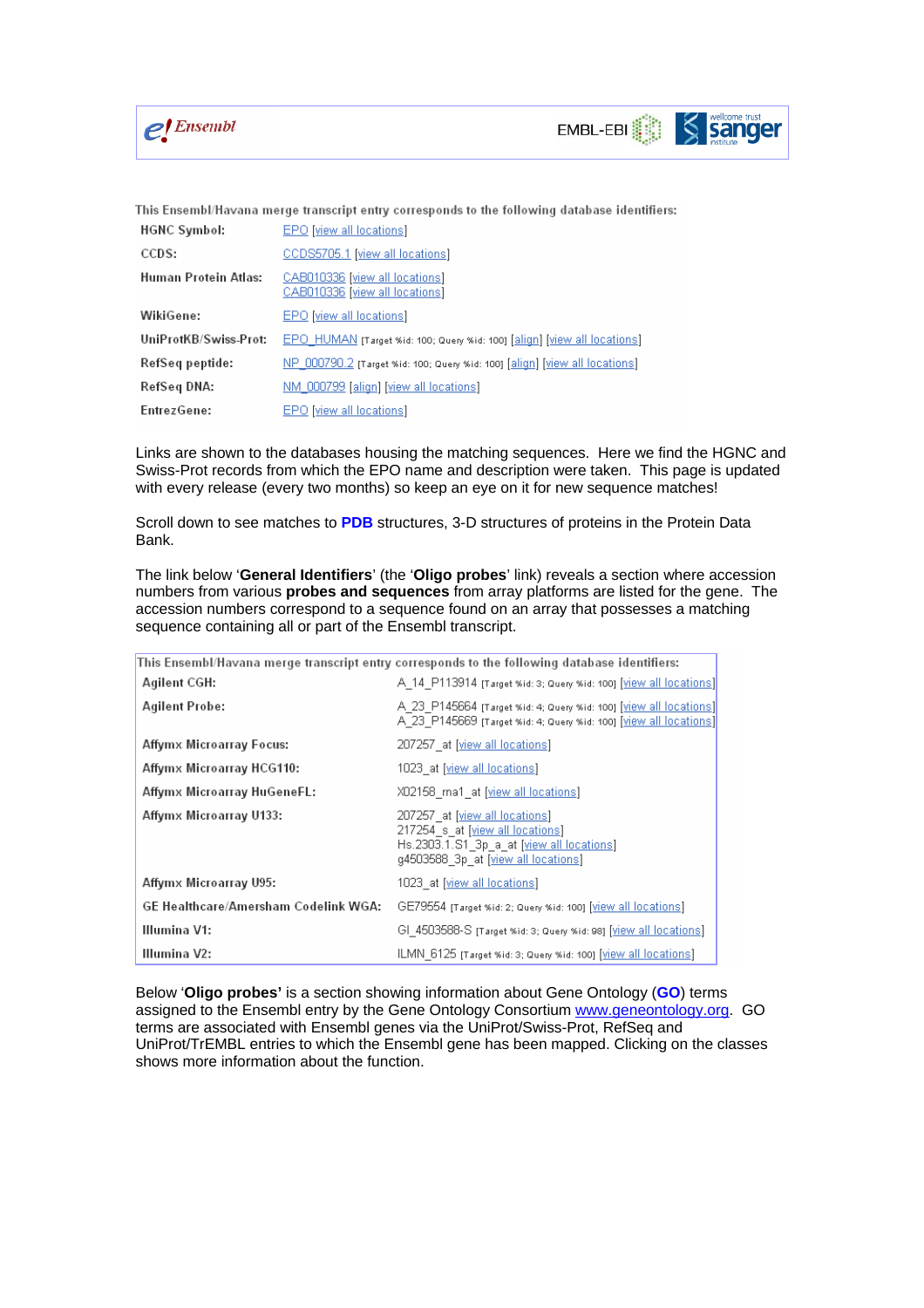



This Ensembl/Havana merge transcript entry corresponds to the following database identifiers:

| HGNC Symbol:          | EPO [view all locations]                                                   |
|-----------------------|----------------------------------------------------------------------------|
| CCDS:                 | CCDS5705.1 [view all locations]                                            |
| Human Protein Atlas:  | CAB010336 [view all locations]<br>CAB010336 [view all locations]           |
| WikiGene:             | EPO [view all locations]                                                   |
| UniProtKB/Swiss-Prot: | EPO HUMAN (Target %id: 100; Query %id: 100) [align] [view all locations]   |
| RefSeq peptide:       | NP 000790.2 [Target %id: 100; Query %id: 100] [align] [view all locations] |
| RefSeq DNA:           | NM_000799 [align] [view all locations]                                     |
| EntrezGene:           | EPO [view all locations]                                                   |

Links are shown to the databases housing the matching sequences. Here we find the HGNC and Swiss-Prot records from which the EPO name and description were taken. This page is updated with every release (every two months) so keep an eye on it for new sequence matches!

Scroll down to see matches to **PDB** structures, 3-D structures of proteins in the Protein Data Bank.

The link below '**General Identifiers**' (the '**Oligo probes**' link) reveals a section where accession numbers from various **probes and sequences** from array platforms are listed for the gene. The accession numbers correspond to a sequence found on an array that possesses a matching sequence containing all or part of the Ensembl transcript.

|                                      | This Ensembl/Havana merge transcript entry corresponds to the following database identifiers:                                                          |
|--------------------------------------|--------------------------------------------------------------------------------------------------------------------------------------------------------|
| Agilent CGH:                         | A 14 P113914 [Target %id: 3; Query %id: 100] [ <u>View all locations]</u>                                                                              |
| Agilent Probe:                       | A 23 P145664 (Target %id: 4; Query %id: 100) [view all locations]]<br>A 23 P145669 [Target %id: 4; Query %id: 100] [view all locations]]               |
| Affymx Microarray Focus:             | 207257 at [view all locations]                                                                                                                         |
| Affymx Microarray HCG110:            | 1023 at [view all locations]                                                                                                                           |
| Affymx Microarray HuGeneFL:          | XD2158 ma1 at [ <u>view all locations</u> ]                                                                                                            |
| Affymx Microarray U133:              | 207257 at [view all locations]<br>217254 s at [view all locations]<br>Hs.2303.1.S1 3p a at [view all locations]<br>g4503588 3p at [view all locations] |
| Affymx Microarray U95:               | 1023 at [view all locations]                                                                                                                           |
| GE Healthcare/Amersham Codelink WGA: | GE79554 [Target %id: 2; Query %id: 100] [view all locations]                                                                                           |
| Illumina V1:                         | GI 4503588-S [Target %id: 3; Query %id: 98] [ <u>View all locations]</u>                                                                               |
| Illumina V2:                         | ILMN 6125 [Target %id: 3; Query %id: 100] [view all locations]                                                                                         |

Below '**Oligo probes'** is a section showing information about Gene Ontology (**GO**) terms assigned to the Ensembl entry by the Gene Ontology Consortium www.geneontology.org. GO terms are associated with Ensembl genes via the UniProt/Swiss-Prot, RefSeq and UniProt/TrEMBL entries to which the Ensembl gene has been mapped. Clicking on the classes shows more information about the function.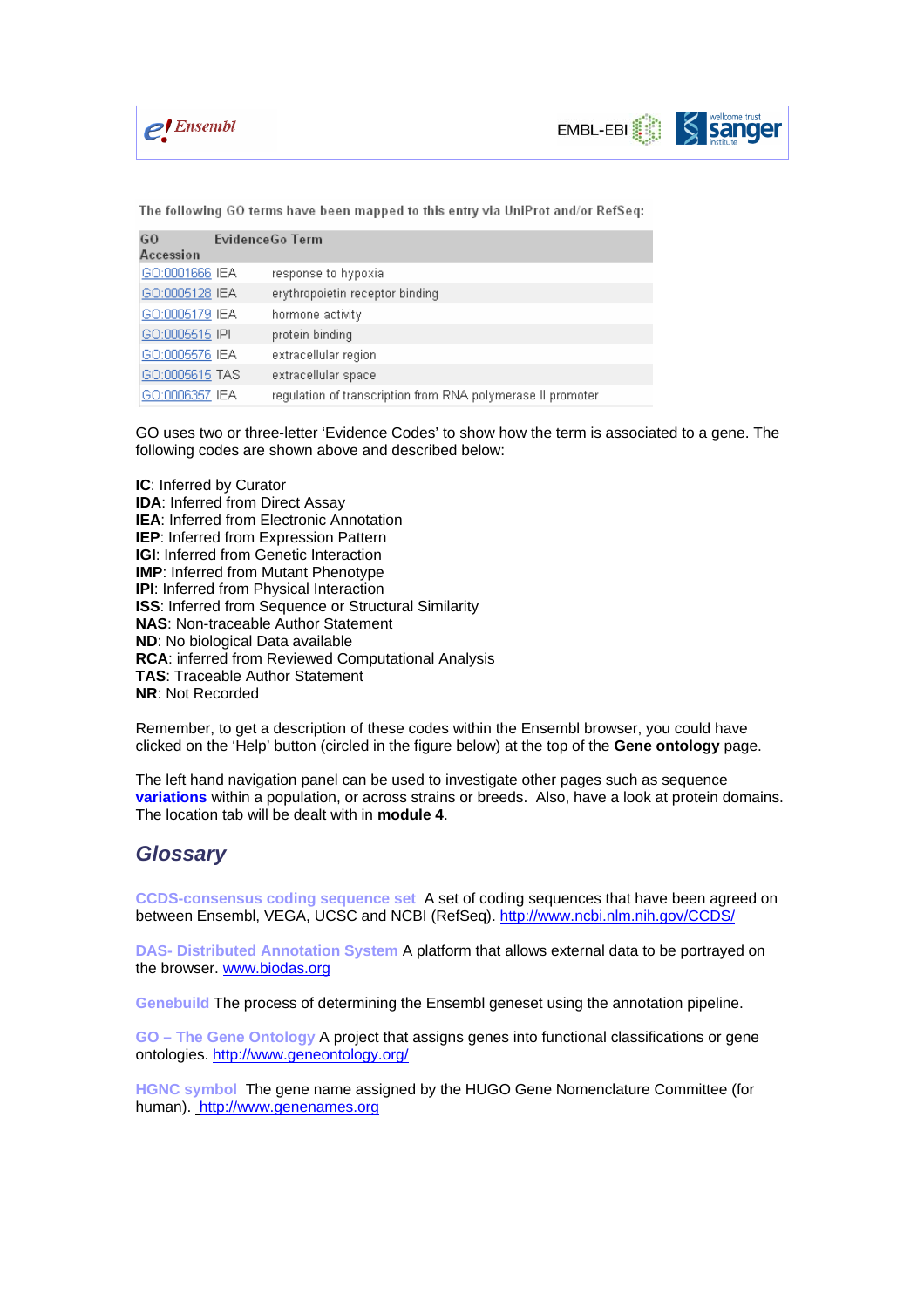

The following GO terms have been mapped to this entry via UniProt and/or RefSeq:

| G <sub>O</sub><br>Accession | EvidenceGo Term                                             |
|-----------------------------|-------------------------------------------------------------|
| GO:0001666 IEA              | response to hypoxia                                         |
| GO:0005128 IEA              | erythropoietin receptor binding                             |
| GO:0005179 IEA              | hormone activity                                            |
| GO:0005515 IPI              | protein binding                                             |
| GO:0005576 IEA              | extracellular region                                        |
| GO:0005615 TAS              | extracellular space                                         |
| GO:0006357 IEA              | regulation of transcription from RNA polymerase II promoter |

GO uses two or three-letter 'Evidence Codes' to show how the term is associated to a gene. The following codes are shown above and described below:

**IC**: Inferred by Curator **IDA: Inferred from Direct Assay IEA**: Inferred from Electronic Annotation **IEP**: Inferred from Expression Pattern **IGI:** Inferred from Genetic Interaction **IMP**: Inferred from Mutant Phenotype **IPI**: Inferred from Physical Interaction **ISS:** Inferred from Sequence or Structural Similarity **NAS**: Non-traceable Author Statement **ND**: No biological Data available **RCA**: inferred from Reviewed Computational Analysis **TAS**: Traceable Author Statement **NR**: Not Recorded

Remember, to get a description of these codes within the Ensembl browser, you could have clicked on the 'Help' button (circled in the figure below) at the top of the **Gene ontology** page.

The left hand navigation panel can be used to investigate other pages such as sequence **variations** within a population, or across strains or breeds. Also, have a look at protein domains. The location tab will be dealt with in **module 4**.

## *Glossary*

**CCDS-consensus coding sequence set** A set of coding sequences that have been agreed on between Ensembl, VEGA, UCSC and NCBI (RefSeq). http://www.ncbi.nlm.nih.gov/CCDS/

**DAS- Distributed Annotation System** A platform that allows external data to be portrayed on the browser. www.biodas.org

**Genebuild** The process of determining the Ensembl geneset using the annotation pipeline.

**GO – The Gene Ontology** A project that assigns genes into functional classifications or gene ontologies. http://www.geneontology.org/

**HGNC symbol** The gene name assigned by the HUGO Gene Nomenclature Committee (for human). http://www.genenames.org